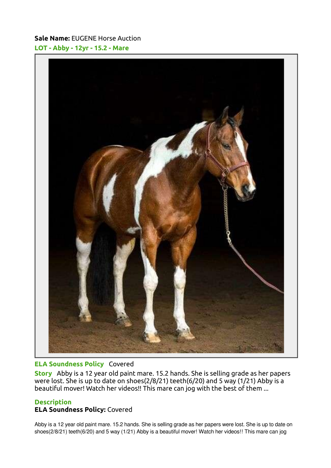## Sale Name: EUGENE Horse Auction LOT - Abby - 12yr - 15.2 - Mare



### ELA Soundness Policy Covered

Story Abby is a 12 year old paint mare. 15.2 hands. She is selling grade as her papers were lost. She is up to date on shoes(2/8/21) teeth(6/20) and 5 way (1/21) Abby is a beautiful mover! Watch her videos!! This mare can jog with the best of them ...

### **Description**

## ELA Soundness Policy: Covered

Abby is a 12 year old paint mare. 15.2 hands. She is selling grade as her papers were lost. She is up to date on shoes(2/8/21) teeth(6/20) and 5 way (1/21) Abby is a beautiful mover! Watch her videos!! This mare can jog